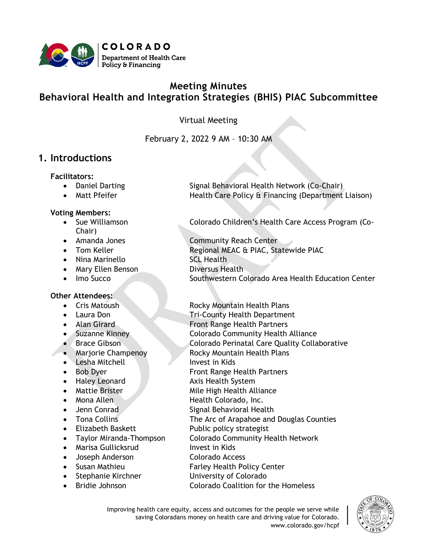

# **Meeting Minutes Behavioral Health and Integration Strategies (BHIS) PIAC Subcommittee**

Virtual Meeting

### February 2, 2022 9 AM – 10:30 AM

### **1. Introductions**

#### **Facilitators:**

- 
- 

#### **Voting Members:**

- Chair)
- 
- 
- Nina Marinello SCL Health
- Mary Ellen Benson **Diversus Health**
- 

#### **Other Attendees:**

- 
- 
- 
- 
- 
- 
- Lesha Mitchell Invest in Kids
- 
- 
- 
- 
- 
- 
- 
- 
- Marisa Gullicksrud Invest in Kids
- Joseph Anderson Colorado Access
- 
- 
- 

• Daniel Darting Signal Behavioral Health Network (Co-Chair) • Matt Pfeifer **Health Care Policy & Financing (Department Liaison)** 

• Sue Williamson Colorado Children's Health Care Access Program (Co-

• Amanda Jones Community Reach Center Tom Keller **Example 20 Regional MEAC & PIAC, Statewide PIAC** • Imo Succo Southwestern Colorado Area Health Education Center

• Cris Matoush Rocky Mountain Health Plans

- Laura Don **Tri-County Health Department**
- Alan Girard **Front Range Health Partners**
- Suzanne Kinney Colorado Community Health Alliance
- Brace Gibson Colorado Perinatal Care Quality Collaborative
- Marjorie Champenoy Rocky Mountain Health Plans
	-
- Bob Dyer **Front Range Health Partners**
- Haley Leonard Axis Health System
	- **Mattie Brister Mile High Health Alliance**
	- **Allen Health Colorado, Inc.**
	- Jenn Conrad Signal Behavioral Health
- Tona Collins **The Arc of Arapahoe and Douglas Counties**
- Elizabeth Baskett Public policy strategist
- Taylor Miranda-Thompson Colorado Community Health Network
	-
	-
	- Susan Mathieu Farley Health Policy Center
	- Stephanie Kirchner University of Colorado
	- Bridie Johnson Colorado Coalition for the Homeless

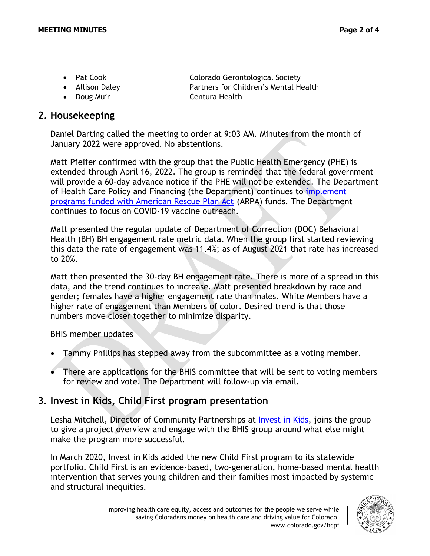- 
- 
- Doug Muir **Centura Health**

• Pat Cook **Colorado Gerontological Society** • Allison Daley **Partners for Children's Mental Health** 

**2. Housekeeping**

Daniel Darting called the meeting to order at 9:03 AM. Minutes from the month of January 2022 were approved. No abstentions.

Matt Pfeifer confirmed with the group that the Public Health Emergency (PHE) is extended through April 16, 2022. The group is reminded that the federal government will provide a 60-day advance notice if the PHE will not be extended. The Department of Health Care Policy and Financing (the Department) continues to [implement](https://hcpf.colorado.gov/arpa)  [programs funded with American Rescue Plan Act](https://hcpf.colorado.gov/arpa) (ARPA) funds. The Department continues to focus on COVID-19 vaccine outreach.

Matt presented the regular update of Department of Correction (DOC) Behavioral Health (BH) BH engagement rate metric data. When the group first started reviewing this data the rate of engagement was 11.4%; as of August 2021 that rate has increased to 20%.

Matt then presented the 30-day BH engagement rate. There is more of a spread in this data, and the trend continues to increase. Matt presented breakdown by race and gender; females have a higher engagement rate than males. White Members have a higher rate of engagement than Members of color. Desired trend is that those numbers move closer together to minimize disparity.

BHIS member updates

- Tammy Phillips has stepped away from the subcommittee as a voting member.
- There are applications for the BHIS committee that will be sent to voting members for review and vote. The Department will follow-up via email.

## **3. Invest in Kids, Child First program presentation**

Lesha Mitchell, Director of Community Partnerships at [Invest in Kids,](https://iik.org/programs/child-first/) joins the group to give a project overview and engage with the BHIS group around what else might make the program more successful.

In March 2020, Invest in Kids added the new Child First program to its statewide portfolio. Child First is an evidence-based, two-generation, home-based mental health intervention that serves young children and their families most impacted by systemic and structural inequities.

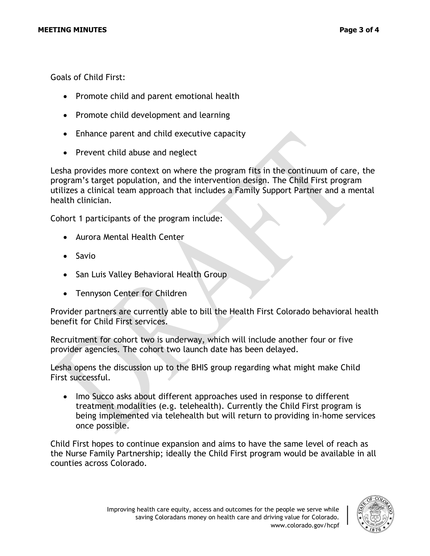Goals of Child First:

- Promote child and parent emotional health
- Promote child development and learning
- Enhance parent and child executive capacity
- Prevent child abuse and neglect

Lesha provides more context on where the program fits in the continuum of care, the program's target population, and the intervention design. The Child First program utilizes a clinical team approach that includes a Family Support Partner and a mental health clinician.

Cohort 1 participants of the program include:

- Aurora Mental Health Center
- Savio
- San Luis Valley Behavioral Health Group
- Tennyson Center for Children

Provider partners are currently able to bill the Health First Colorado behavioral health benefit for Child First services.

Recruitment for cohort two is underway, which will include another four or five provider agencies. The cohort two launch date has been delayed.

Lesha opens the discussion up to the BHIS group regarding what might make Child First successful.

• Imo Succo asks about different approaches used in response to different treatment modalities (e.g. telehealth). Currently the Child First program is being implemented via telehealth but will return to providing in-home services once possible.

Child First hopes to continue expansion and aims to have the same level of reach as the Nurse Family Partnership; ideally the Child First program would be available in all counties across Colorado.